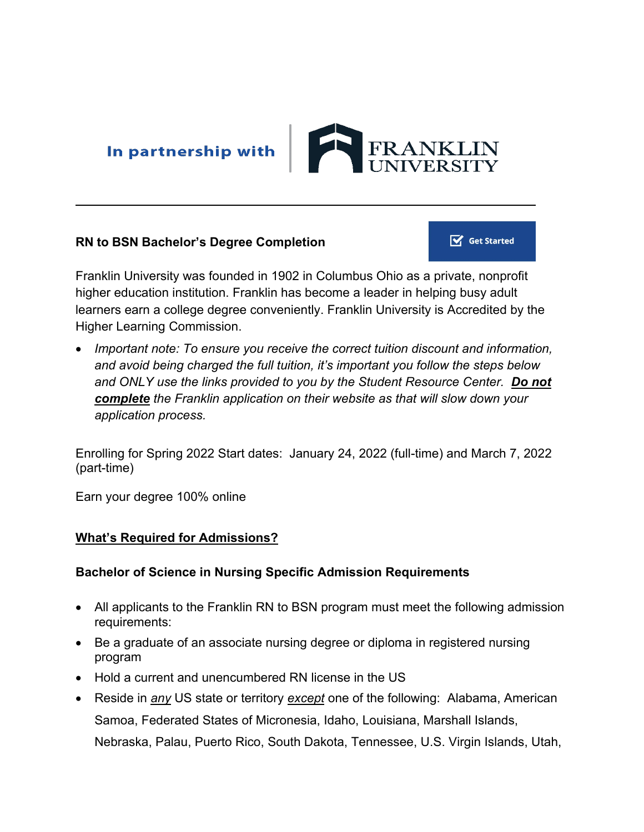In partnership with

# **RN to BSN Bachelor's Degree Completion**

 $\overrightarrow{V}$  Get Started

**FRANKLIN** 

Franklin University was founded in 1902 in Columbus Ohio as a private, nonprofit higher education institution. Franklin has become a leader in helping busy adult learners earn a college degree conveniently. Franklin University is Accredited by the Higher Learning Commission.

• *Important note: To ensure you receive the correct tuition discount and information, and avoid being charged the full tuition, it's important you follow the steps below and ONLY use the links provided to you by the Student Resource Center. Do not complete the Franklin application on their website as that will slow down your application process.*

Enrolling for Spring 2022 Start dates: January 24, 2022 (full-time) and March 7, 2022 (part-time)

Earn your degree 100% online

### **What's Required for Admissions?**

### **Bachelor of Science in Nursing Specific Admission Requirements**

- All applicants to the Franklin RN to BSN program must meet the following admission requirements:
- Be a graduate of an associate nursing degree or diploma in registered nursing program
- Hold a current and unencumbered RN license in the US
- Reside in *any* US state or territory *except* one of the following: Alabama, American Samoa, Federated States of Micronesia, Idaho, Louisiana, Marshall Islands, Nebraska, Palau, Puerto Rico, South Dakota, Tennessee, U.S. Virgin Islands, Utah,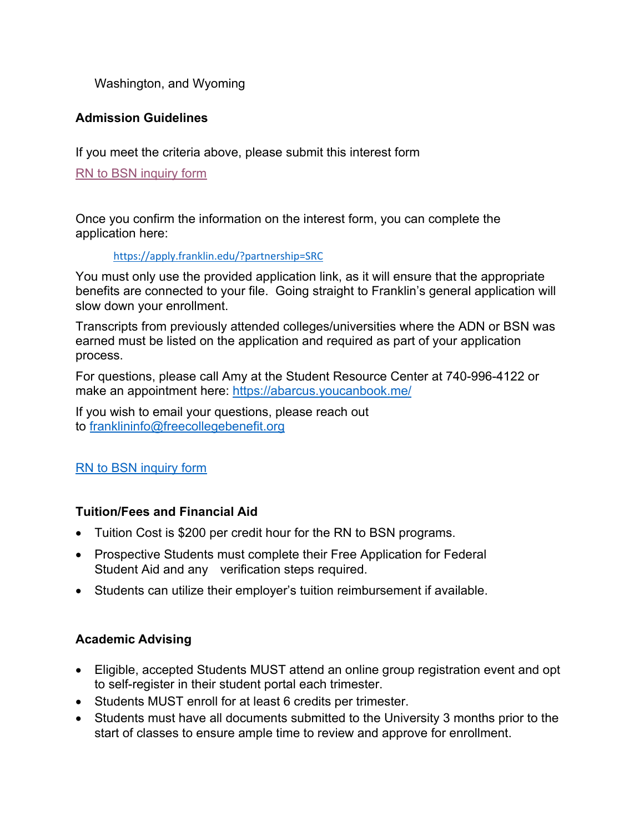Washington, and Wyoming

## **Admission Guidelines**

If you meet the criteria above, please submit this interest form

RN to BSN inquiry form

Once you confirm the information on the interest form, you can complete the application here:

#### https://apply.franklin.edu/?partnership=SRC

You must only use the provided application link, as it will ensure that the appropriate benefits are connected to your file. Going straight to Franklin's general application will slow down your enrollment.

Transcripts from previously attended colleges/universities where the ADN or BSN was earned must be listed on the application and required as part of your application process.

For questions, please call Amy at the Student Resource Center at 740-996-4122 or make an appointment here: https://abarcus.youcanbook.me/

If you wish to email your questions, please reach out to franklininfo@freecollegebenefit.org

### RN to BSN inquiry form

### **Tuition/Fees and Financial Aid**

- Tuition Cost is \$200 per credit hour for the RN to BSN programs.
- Prospective Students must complete their Free Application for Federal Student Aid and any verification steps required.
- Students can utilize their employer's tuition reimbursement if available.

### **Academic Advising**

- Eligible, accepted Students MUST attend an online group registration event and opt to self-register in their student portal each trimester.
- Students MUST enroll for at least 6 credits per trimester.
- Students must have all documents submitted to the University 3 months prior to the start of classes to ensure ample time to review and approve for enrollment.